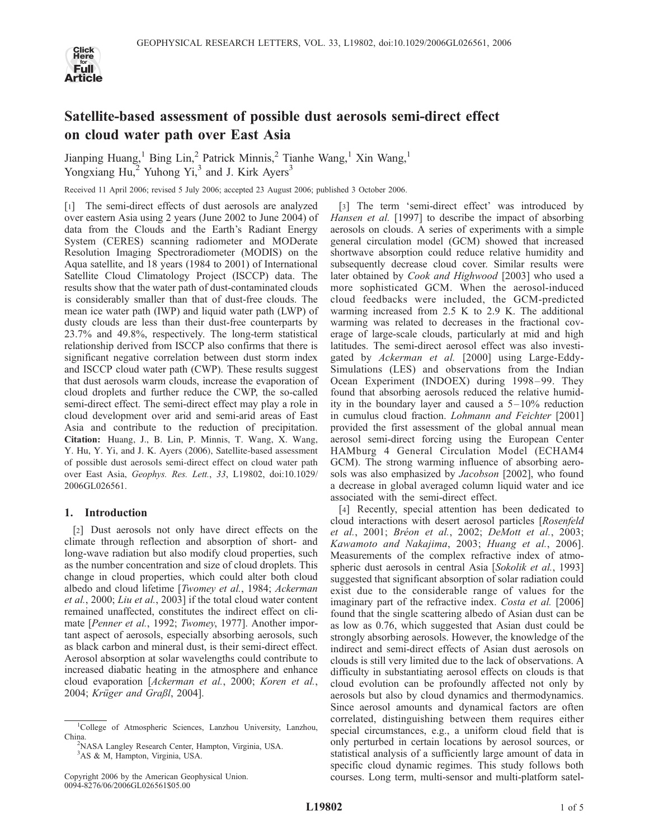

# Satellite-based assessment of possible dust aerosols semi-direct effect on cloud water path over East Asia

Jianping Huang,<sup>1</sup> Bing Lin,<sup>2</sup> Patrick Minnis,<sup>2</sup> Tianhe Wang,<sup>1</sup> Xin Wang,<sup>1</sup> Yongxiang  $Hu$ , Yuhong Yi, and J. Kirk Ayers<sup>3</sup>

Received 11 April 2006; revised 5 July 2006; accepted 23 August 2006; published 3 October 2006.

[1] The semi-direct effects of dust aerosols are analyzed over eastern Asia using 2 years (June 2002 to June 2004) of data from the Clouds and the Earth's Radiant Energy System (CERES) scanning radiometer and MODerate Resolution Imaging Spectroradiometer (MODIS) on the Aqua satellite, and 18 years (1984 to 2001) of International Satellite Cloud Climatology Project (ISCCP) data. The results show that the water path of dust-contaminated clouds is considerably smaller than that of dust-free clouds. The mean ice water path (IWP) and liquid water path (LWP) of dusty clouds are less than their dust-free counterparts by 23.7% and 49.8%, respectively. The long-term statistical relationship derived from ISCCP also confirms that there is significant negative correlation between dust storm index and ISCCP cloud water path (CWP). These results suggest that dust aerosols warm clouds, increase the evaporation of cloud droplets and further reduce the CWP, the so-called semi-direct effect. The semi-direct effect may play a role in cloud development over arid and semi-arid areas of East Asia and contribute to the reduction of precipitation. Citation: Huang, J., B. Lin, P. Minnis, T. Wang, X. Wang, Y. Hu, Y. Yi, and J. K. Ayers (2006), Satellite-based assessment of possible dust aerosols semi-direct effect on cloud water path over East Asia, Geophys. Res. Lett., 33, L19802, doi:10.1029/ 2006GL026561.

## 1. Introduction

[2] Dust aerosols not only have direct effects on the climate through reflection and absorption of short- and long-wave radiation but also modify cloud properties, such as the number concentration and size of cloud droplets. This change in cloud properties, which could alter both cloud albedo and cloud lifetime [Twomey et al., 1984; Ackerman et al., 2000; Liu et al., 2003] if the total cloud water content remained unaffected, constitutes the indirect effect on climate [Penner et al., 1992; Twomey, 1977]. Another important aspect of aerosols, especially absorbing aerosols, such as black carbon and mineral dust, is their semi-direct effect. Aerosol absorption at solar wavelengths could contribute to increased diabatic heating in the atmosphere and enhance cloud evaporation [Ackerman et al., 2000; Koren et al., 2004; Krüger and Graßl, 2004].

[3] The term 'semi-direct effect' was introduced by Hansen et al. [1997] to describe the impact of absorbing aerosols on clouds. A series of experiments with a simple general circulation model (GCM) showed that increased shortwave absorption could reduce relative humidity and subsequently decrease cloud cover. Similar results were later obtained by Cook and Highwood [2003] who used a more sophisticated GCM. When the aerosol-induced cloud feedbacks were included, the GCM-predicted warming increased from 2.5 K to 2.9 K. The additional warming was related to decreases in the fractional coverage of large-scale clouds, particularly at mid and high latitudes. The semi-direct aerosol effect was also investigated by Ackerman et al. [2000] using Large-Eddy-Simulations (LES) and observations from the Indian Ocean Experiment (INDOEX) during 1998–99. They found that absorbing aerosols reduced the relative humidity in the boundary layer and caused a  $5 - 10\%$  reduction in cumulus cloud fraction. Lohmann and Feichter [2001] provided the first assessment of the global annual mean aerosol semi-direct forcing using the European Center HAMburg 4 General Circulation Model (ECHAM4 GCM). The strong warming influence of absorbing aerosols was also emphasized by *Jacobson* [2002], who found a decrease in global averaged column liquid water and ice associated with the semi-direct effect.

[4] Recently, special attention has been dedicated to cloud interactions with desert aerosol particles [Rosenfeld et al., 2001; Bréon et al., 2002; DeMott et al., 2003; Kawamoto and Nakajima, 2003; Huang et al., 2006]. Measurements of the complex refractive index of atmospheric dust aerosols in central Asia [Sokolik et al., 1993] suggested that significant absorption of solar radiation could exist due to the considerable range of values for the imaginary part of the refractive index. Costa et al. [2006] found that the single scattering albedo of Asian dust can be as low as 0.76, which suggested that Asian dust could be strongly absorbing aerosols. However, the knowledge of the indirect and semi-direct effects of Asian dust aerosols on clouds is still very limited due to the lack of observations. A difficulty in substantiating aerosol effects on clouds is that cloud evolution can be profoundly affected not only by aerosols but also by cloud dynamics and thermodynamics. Since aerosol amounts and dynamical factors are often correlated, distinguishing between them requires either special circumstances, e.g., a uniform cloud field that is only perturbed in certain locations by aerosol sources, or statistical analysis of a sufficiently large amount of data in specific cloud dynamic regimes. This study follows both courses. Long term, multi-sensor and multi-platform satel-

<sup>&</sup>lt;sup>1</sup>College of Atmospheric Sciences, Lanzhou University, Lanzhou, China.

<sup>&</sup>lt;sup>2</sup>NASA Langley Research Center, Hampton, Virginia, USA. 3 AS & M, Hampton, Virginia, USA.

Copyright 2006 by the American Geophysical Union. 0094-8276/06/2006GL026561\$05.00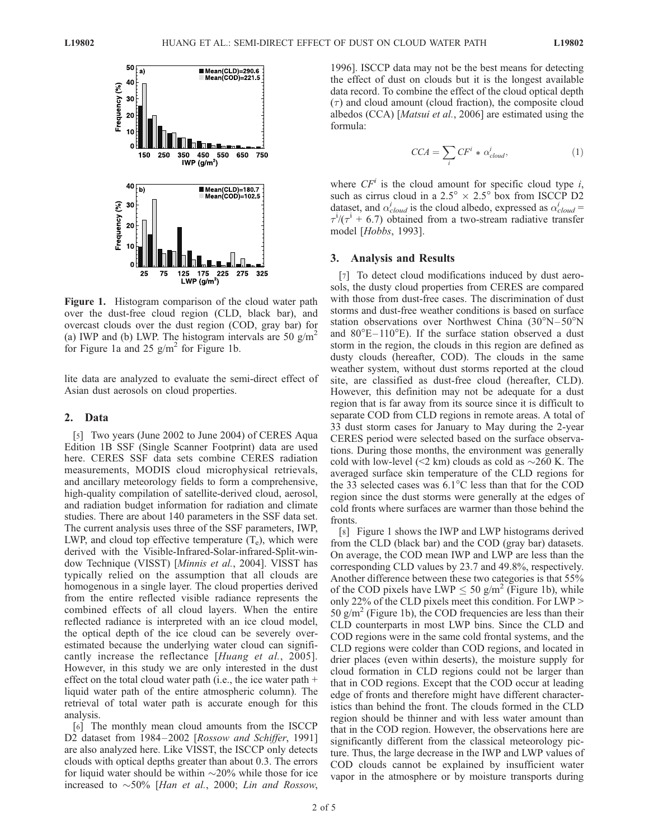

Figure 1. Histogram comparison of the cloud water path over the dust-free cloud region (CLD, black bar), and overcast clouds over the dust region (COD, gray bar) for (a) IWP and (b) LWP. The histogram intervals are 50 g/m<sup>2</sup> for Figure 1a and 25  $g/m^2$  for Figure 1b.

lite data are analyzed to evaluate the semi-direct effect of Asian dust aerosols on cloud properties.

#### 2. Data

[5] Two years (June 2002 to June 2004) of CERES Aqua Edition 1B SSF (Single Scanner Footprint) data are used here. CERES SSF data sets combine CERES radiation measurements, MODIS cloud microphysical retrievals, and ancillary meteorology fields to form a comprehensive, high-quality compilation of satellite-derived cloud, aerosol, and radiation budget information for radiation and climate studies. There are about 140 parameters in the SSF data set. The current analysis uses three of the SSF parameters, IWP, LWP, and cloud top effective temperature  $(T_e)$ , which were derived with the Visible-Infrared-Solar-infrared-Split-window Technique (VISST) [Minnis et al., 2004]. VISST has typically relied on the assumption that all clouds are homogenous in a single layer. The cloud properties derived from the entire reflected visible radiance represents the combined effects of all cloud layers. When the entire reflected radiance is interpreted with an ice cloud model, the optical depth of the ice cloud can be severely overestimated because the underlying water cloud can significantly increase the reflectance [Huang et al., 2005]. However, in this study we are only interested in the dust effect on the total cloud water path (i.e., the ice water path + liquid water path of the entire atmospheric column). The retrieval of total water path is accurate enough for this analysis.

[6] The monthly mean cloud amounts from the ISCCP D2 dataset from 1984-2002 [Rossow and Schiffer, 1991] are also analyzed here. Like VISST, the ISCCP only detects clouds with optical depths greater than about 0.3. The errors for liquid water should be within  $\sim$ 20% while those for ice increased to  $\sim$  50% [Han et al., 2000; Lin and Rossow,

1996]. ISCCP data may not be the best means for detecting the effect of dust on clouds but it is the longest available data record. To combine the effect of the cloud optical depth  $(\tau)$  and cloud amount (cloud fraction), the composite cloud albedos (CCA) [Matsui et al., 2006] are estimated using the formula:

$$
CCA = \sum_{i} CF^{i} * \alpha_{cloud}^{i}, \qquad (1)
$$

where  $CF<sup>i</sup>$  is the cloud amount for specific cloud type i, such as cirrus cloud in a  $2.5^{\circ} \times 2.5^{\circ}$  box from ISCCP D2 dataset, and  $\alpha_{cloud}^{i}$  is the cloud albedo, expressed as  $\alpha_{cloud}^{i}$  =  $\tau^{i}$ /( $\tau^{i}$  + 6.7) obtained from a two-stream radiative transfer model [Hobbs, 1993].

#### 3. Analysis and Results

[7] To detect cloud modifications induced by dust aerosols, the dusty cloud properties from CERES are compared with those from dust-free cases. The discrimination of dust storms and dust-free weather conditions is based on surface station observations over Northwest China  $(30^{\circ}N - 50^{\circ}N)$ and  $80^{\circ}E-110^{\circ}E$ ). If the surface station observed a dust storm in the region, the clouds in this region are defined as dusty clouds (hereafter, COD). The clouds in the same weather system, without dust storms reported at the cloud site, are classified as dust-free cloud (hereafter, CLD). However, this definition may not be adequate for a dust region that is far away from its source since it is difficult to separate COD from CLD regions in remote areas. A total of 33 dust storm cases for January to May during the 2-year CERES period were selected based on the surface observations. During those months, the environment was generally cold with low-level ( $\leq$ 2 km) clouds as cold as  $\sim$ 260 K. The averaged surface skin temperature of the CLD regions for the 33 selected cases was  $6.1^{\circ}$ C less than that for the COD region since the dust storms were generally at the edges of cold fronts where surfaces are warmer than those behind the fronts.

[8] Figure 1 shows the IWP and LWP histograms derived from the CLD (black bar) and the COD (gray bar) datasets. On average, the COD mean IWP and LWP are less than the corresponding CLD values by 23.7 and 49.8%, respectively. Another difference between these two categories is that 55% of the COD pixels have LWP  $\leq 50$  g/m<sup>2</sup> (Figure 1b), while only 22% of the CLD pixels meet this condition. For LWP > 50  $\text{g/m}^2$  (Figure 1b), the COD frequencies are less than their CLD counterparts in most LWP bins. Since the CLD and COD regions were in the same cold frontal systems, and the CLD regions were colder than COD regions, and located in drier places (even within deserts), the moisture supply for cloud formation in CLD regions could not be larger than that in COD regions. Except that the COD occur at leading edge of fronts and therefore might have different characteristics than behind the front. The clouds formed in the CLD region should be thinner and with less water amount than that in the COD region. However, the observations here are significantly different from the classical meteorology picture. Thus, the large decrease in the IWP and LWP values of COD clouds cannot be explained by insufficient water vapor in the atmosphere or by moisture transports during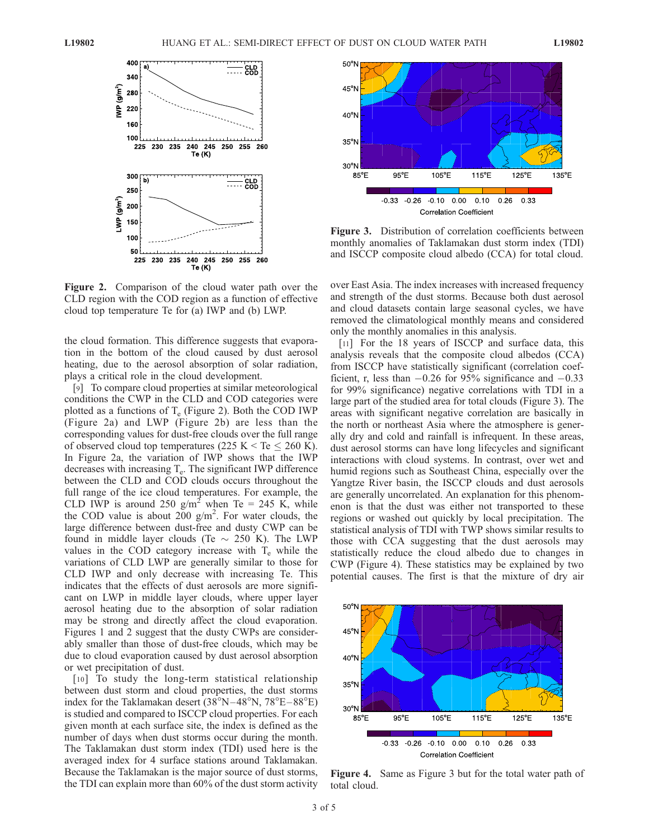

Figure 2. Comparison of the cloud water path over the CLD region with the COD region as a function of effective cloud top temperature Te for (a) IWP and (b) LWP.

the cloud formation. This difference suggests that evaporation in the bottom of the cloud caused by dust aerosol heating, due to the aerosol absorption of solar radiation, plays a critical role in the cloud development.

[9] To compare cloud properties at similar meteorological conditions the CWP in the CLD and COD categories were plotted as a functions of  $T_e$  (Figure 2). Both the COD IWP (Figure 2a) and LWP (Figure 2b) are less than the corresponding values for dust-free clouds over the full range of observed cloud top temperatures (225 K  $\leq$  Te  $\leq$  260 K). In Figure 2a, the variation of IWP shows that the IWP decreases with increasing  $T_e$ . The significant IWP difference between the CLD and COD clouds occurs throughout the full range of the ice cloud temperatures. For example, the CLD IWP is around 250 g/m<sup>2</sup> when Te = 245 K, while the COD value is about  $200 \text{ g/m}^2$ . For water clouds, the large difference between dust-free and dusty CWP can be found in middle layer clouds (Te  $\sim$  250 K). The LWP values in the COD category increase with  $T_e$  while the variations of CLD LWP are generally similar to those for CLD IWP and only decrease with increasing Te. This indicates that the effects of dust aerosols are more significant on LWP in middle layer clouds, where upper layer aerosol heating due to the absorption of solar radiation may be strong and directly affect the cloud evaporation. Figures 1 and 2 suggest that the dusty CWPs are considerably smaller than those of dust-free clouds, which may be due to cloud evaporation caused by dust aerosol absorption or wet precipitation of dust.

[10] To study the long-term statistical relationship between dust storm and cloud properties, the dust storms index for the Taklamakan desert  $(38^{\circ}N-48^{\circ}N, 78^{\circ}E-88^{\circ}E)$ is studied and compared to ISCCP cloud properties. For each given month at each surface site, the index is defined as the number of days when dust storms occur during the month. The Taklamakan dust storm index (TDI) used here is the averaged index for 4 surface stations around Taklamakan. Because the Taklamakan is the major source of dust storms, the TDI can explain more than 60% of the dust storm activity



Figure 3. Distribution of correlation coefficients between monthly anomalies of Taklamakan dust storm index (TDI) and ISCCP composite cloud albedo (CCA) for total cloud.

over East Asia. The index increases with increased frequency and strength of the dust storms. Because both dust aerosol and cloud datasets contain large seasonal cycles, we have removed the climatological monthly means and considered only the monthly anomalies in this analysis.

[11] For the 18 years of ISCCP and surface data, this analysis reveals that the composite cloud albedos (CCA) from ISCCP have statistically significant (correlation coefficient, r, less than  $-0.26$  for 95% significance and  $-0.33$ for 99% significance) negative correlations with TDI in a large part of the studied area for total clouds (Figure 3). The areas with significant negative correlation are basically in the north or northeast Asia where the atmosphere is generally dry and cold and rainfall is infrequent. In these areas, dust aerosol storms can have long lifecycles and significant interactions with cloud systems. In contrast, over wet and humid regions such as Southeast China, especially over the Yangtze River basin, the ISCCP clouds and dust aerosols are generally uncorrelated. An explanation for this phenomenon is that the dust was either not transported to these regions or washed out quickly by local precipitation. The statistical analysis of TDI with TWP shows similar results to those with CCA suggesting that the dust aerosols may statistically reduce the cloud albedo due to changes in CWP (Figure 4). These statistics may be explained by two potential causes. The first is that the mixture of dry air



Figure 4. Same as Figure 3 but for the total water path of total cloud.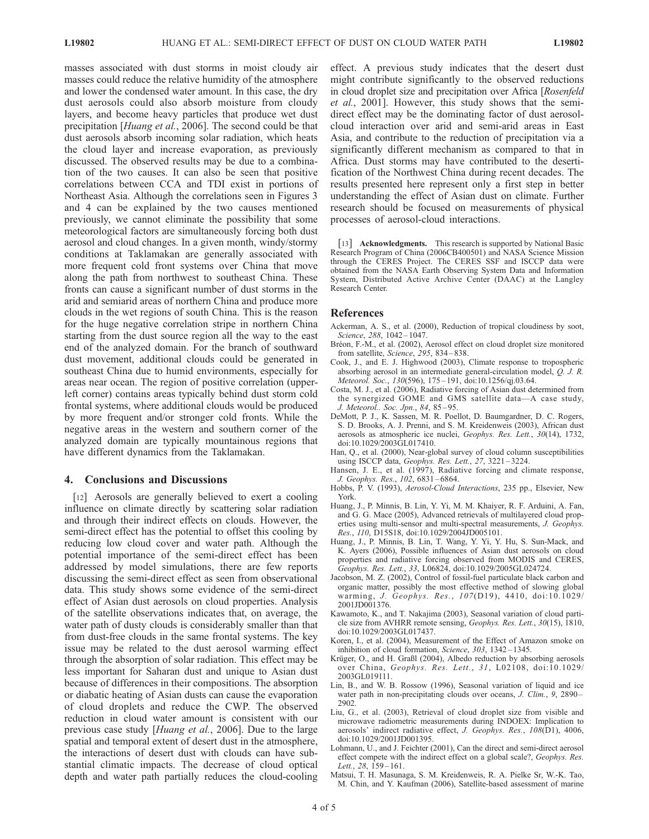masses associated with dust storms in moist cloudy air masses could reduce the relative humidity of the atmosphere and lower the condensed water amount. In this case, the dry dust aerosols could also absorb moisture from cloudy layers, and become heavy particles that produce wet dust precipitation [Huang et al., 2006]. The second could be that dust aerosols absorb incoming solar radiation, which heats the cloud layer and increase evaporation, as previously discussed. The observed results may be due to a combination of the two causes. It can also be seen that positive correlations between CCA and TDI exist in portions of Northeast Asia. Although the correlations seen in Figures 3 and 4 can be explained by the two causes mentioned previously, we cannot eliminate the possibility that some meteorological factors are simultaneously forcing both dust aerosol and cloud changes. In a given month, windy/stormy conditions at Taklamakan are generally associated with more frequent cold front systems over China that move along the path from northwest to southeast China. These fronts can cause a significant number of dust storms in the arid and semiarid areas of northern China and produce more clouds in the wet regions of south China. This is the reason for the huge negative correlation stripe in northern China starting from the dust source region all the way to the east end of the analyzed domain. For the branch of southward dust movement, additional clouds could be generated in southeast China due to humid environments, especially for areas near ocean. The region of positive correlation (upperleft corner) contains areas typically behind dust storm cold frontal systems, where additional clouds would be produced by more frequent and/or stronger cold fronts. While the negative areas in the western and southern corner of the analyzed domain are typically mountainous regions that have different dynamics from the Taklamakan.

### 4. Conclusions and Discussions

[12] Aerosols are generally believed to exert a cooling influence on climate directly by scattering solar radiation and through their indirect effects on clouds. However, the semi-direct effect has the potential to offset this cooling by reducing low cloud cover and water path. Although the potential importance of the semi-direct effect has been addressed by model simulations, there are few reports discussing the semi-direct effect as seen from observational data. This study shows some evidence of the semi-direct effect of Asian dust aerosols on cloud properties. Analysis of the satellite observations indicates that, on average, the water path of dusty clouds is considerably smaller than that from dust-free clouds in the same frontal systems. The key issue may be related to the dust aerosol warming effect through the absorption of solar radiation. This effect may be less important for Saharan dust and unique to Asian dust because of differences in their compositions. The absorption or diabatic heating of Asian dusts can cause the evaporation of cloud droplets and reduce the CWP. The observed reduction in cloud water amount is consistent with our previous case study [Huang et al., 2006]. Due to the large spatial and temporal extent of desert dust in the atmosphere, the interactions of desert dust with clouds can have substantial climatic impacts. The decrease of cloud optical depth and water path partially reduces the cloud-cooling

effect. A previous study indicates that the desert dust might contribute significantly to the observed reductions in cloud droplet size and precipitation over Africa [Rosenfeld et al., 2001]. However, this study shows that the semidirect effect may be the dominating factor of dust aerosolcloud interaction over arid and semi-arid areas in East Asia, and contribute to the reduction of precipitation via a significantly different mechanism as compared to that in Africa. Dust storms may have contributed to the desertification of the Northwest China during recent decades. The results presented here represent only a first step in better understanding the effect of Asian dust on climate. Further research should be focused on measurements of physical processes of aerosol-cloud interactions.

[13] **Acknowledgments.** This research is supported by National Basic Research Program of China (2006CB400501) and NASA Science Mission through the CERES Project. The CERES SSF and ISCCP data were obtained from the NASA Earth Observing System Data and Information System, Distributed Active Archive Center (DAAC) at the Langley Research Center.

#### References

- Ackerman, A. S., et al. (2000), Reduction of tropical cloudiness by soot, Science, 288, 1042-1047.
- Bréon, F.-M., et al. (2002), Aerosol effect on cloud droplet size monitored from satellite, Science, 295, 834-838.
- Cook, J., and E. J. Highwood (2003), Climate response to tropospheric absorbing aerosol in an intermediate general-circulation model,  $Q$ . J. R. Meteorol. Soc., 130(596), 175-191, doi:10.1256/qj.03.64.
- Costa, M. J., et al. (2006), Radiative forcing of Asian dust determined from the synergized GOME and GMS satellite data—A case study, J. Meteorol.. Soc. Jpn., 84, 85 – 95.
- DeMott, P. J., K. Sassen, M. R. Poellot, D. Baumgardner, D. C. Rogers, S. D. Brooks, A. J. Prenni, and S. M. Kreidenweis (2003), African dust aerosols as atmospheric ice nuclei, Geophys. Res. Lett., 30(14), 1732, doi:10.1029/2003GL017410.
- Han, Q., et al. (2000), Near-global survey of cloud column susceptibilities using ISCCP data, Geophys. Res. Lett., 27, 3221 – 3224.
- Hansen, J. E., et al. (1997), Radiative forcing and climate response, J. Geophys. Res., 102, 6831 – 6864.
- Hobbs, P. V. (1993), Aerosol-Cloud Interactions, 235 pp., Elsevier, New York.
- Huang, J., P. Minnis, B. Lin, Y. Yi, M. M. Khaiyer, R. F. Arduini, A. Fan, and G. G. Mace (2005), Advanced retrievals of multilayered cloud properties using multi-sensor and multi-spectral measurements, J. Geophys. Res., 110, D15S18, doi:10.1029/2004JD005101.
- Huang, J., P. Minnis, B. Lin, T. Wang, Y. Yi, Y. Hu, S. Sun-Mack, and K. Ayers (2006), Possible influences of Asian dust aerosols on cloud properties and radiative forcing observed from MODIS and CERES, Geophys. Res. Lett., 33, L06824, doi:10.1029/2005GL024724.
- Jacobson, M. Z. (2002), Control of fossil-fuel particulate black carbon and organic matter, possibly the most effective method of slowing global warming, J. Geophys. Res., 107(D19), 4410, doi:10.1029/ 2001JD001376.
- Kawamoto, K., and T. Nakajima (2003), Seasonal variation of cloud particle size from AVHRR remote sensing, Geophys. Res. Lett., 30(15), 1810, doi:10.1029/2003GL017437.
- Koren, I., et al. (2004), Measurement of the Effect of Amazon smoke on inhibition of cloud formation, Science, 303, 1342 – 1345.
- Krüger, O., and H. Graßl (2004), Albedo reduction by absorbing aerosols over China, Geophys. Res. Lett., 31, L02108, doi:10.1029/ 2003GL019111.
- Lin, B., and W. B. Rossow (1996), Seasonal variation of liquid and ice water path in non-precipitating clouds over oceans, J. Clim., 9, 2890 – 2902.
- Liu, G., et al. (2003), Retrieval of cloud droplet size from visible and microwave radiometric measurements during INDOEX: Implication to aerosols' indirect radiative effect, J. Geophys. Res., 108(D1), 4006, doi:10.1029/2001JD001395.
- Lohmann, U., and J. Feichter (2001), Can the direct and semi-direct aerosol effect compete with the indirect effect on a global scale?, Geophys. Res. Lett., 28, 159-161.
- Matsui, T. H. Masunaga, S. M. Kreidenweis, R. A. Pielke Sr, W.-K. Tao, M. Chin, and Y. Kaufman (2006), Satellite-based assessment of marine